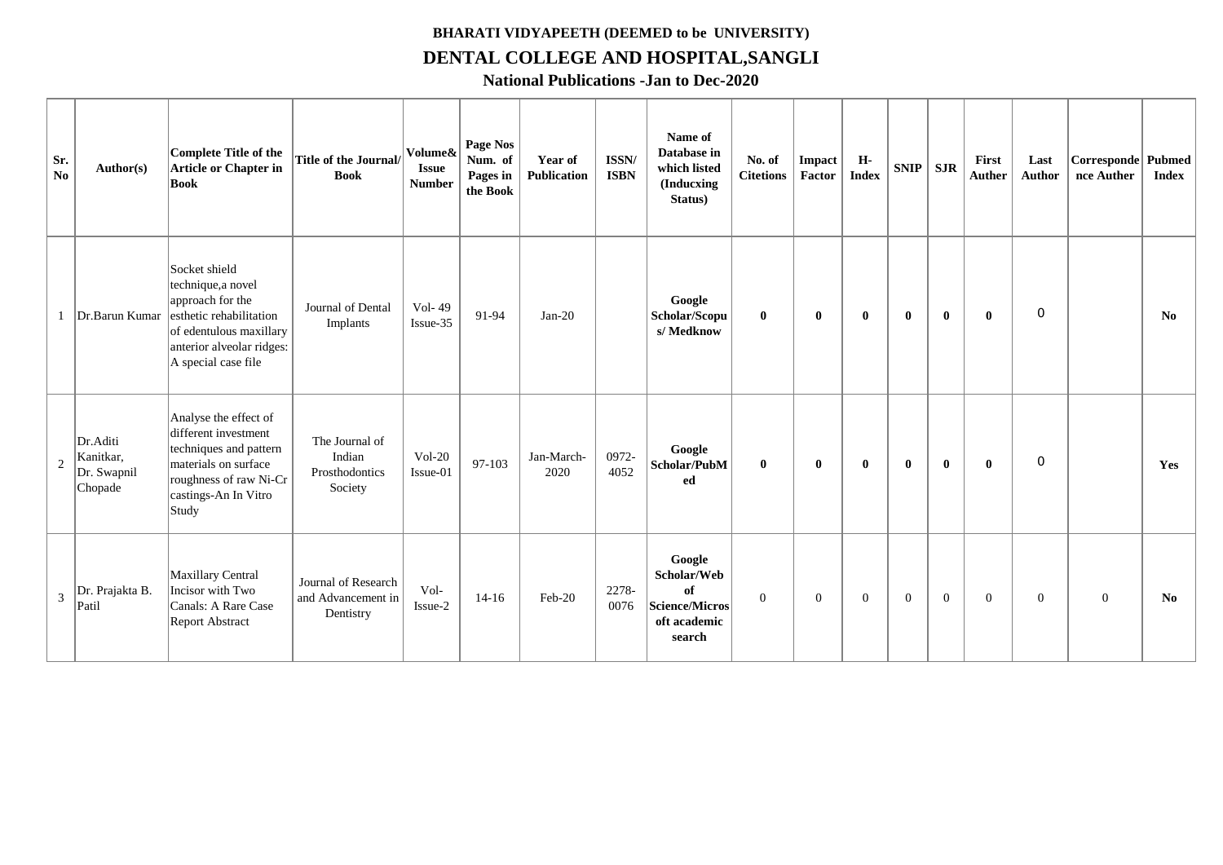## **BHARATI VIDYAPEETH (DEEMED to be UNIVERSITY) DENTAL COLLEGE AND HOSPITAL,SANGLI**

**National Publications -Jan to Dec-2020**

| Sr.<br>N <sub>o</sub> | Author(s)                                       | Complete Title of the<br><b>Article or Chapter in</b><br><b>Book</b>                                                                                              | <b>Title of the Journal/</b><br><b>Book</b>            | Volume&<br><b>Issue</b><br><b>Number</b> | Page Nos<br>Num. of<br>Pages in<br>the Book | Year of<br><b>Publication</b> | ISSN/<br><b>ISBN</b> | Name of<br>Database in<br>which listed<br><b>(Inducxing</b><br>Status)         | No. of<br><b>Citetions</b> | Impact<br>Factor | H-<br><b>Index</b> | <b>SNIP</b>    | <b>SJR</b>     | First<br><b>Auther</b> | Last<br><b>Author</b> | Corresponde Pubmed<br>nce Auther | <b>Index</b>           |
|-----------------------|-------------------------------------------------|-------------------------------------------------------------------------------------------------------------------------------------------------------------------|--------------------------------------------------------|------------------------------------------|---------------------------------------------|-------------------------------|----------------------|--------------------------------------------------------------------------------|----------------------------|------------------|--------------------|----------------|----------------|------------------------|-----------------------|----------------------------------|------------------------|
| $\mathbf{1}$          | Dr.Barun Kumar                                  | Socket shield<br>technique, a novel<br>approach for the<br>esthetic rehabilitation<br>of edentulous maxillary<br>anterior alveolar ridges:<br>A special case file | Journal of Dental<br>Implants                          | Vol- $49$<br>Issue-35                    | 91-94                                       | $Jan-20$                      |                      | Google<br>Scholar/Scopu<br>s/Medknow                                           | $\mathbf{0}$               | $\bf{0}$         | $\bf{0}$           | $\bf{0}$       | $\mathbf{0}$   | $\bf{0}$               | $\overline{0}$        |                                  | No                     |
| 2                     | Dr.Aditi<br>Kanitkar,<br>Dr. Swapnil<br>Chopade | Analyse the effect of<br>different investment<br>techniques and pattern<br>materials on surface<br>roughness of raw Ni-Cr<br>castings-An In Vitro<br>Study        | The Journal of<br>Indian<br>Prosthodontics<br>Society  | $Vol-20$<br>Issue-01                     | $97-103$                                    | Jan-March-<br>2020            | 0972-<br>4052        | Google<br>Scholar/PubM<br>ed                                                   | $\mathbf{0}$               | $\bf{0}$         | $\mathbf{0}$       | $\mathbf{0}$   | $\mathbf{0}$   | $\mathbf{0}$           | $\mathbf 0$           |                                  | Yes                    |
| $\overline{3}$        | Dr. Prajakta B.<br>Patil                        | Maxillary Central<br>Incisor with Two<br>Canals: A Rare Case<br><b>Report Abstract</b>                                                                            | Journal of Research<br>and Advancement in<br>Dentistry | Vol-<br>Issue-2                          | $14 - 16$                                   | Feb-20                        | 2278-<br>0076        | Google<br>Scholar/Web<br>of<br><b>Science/Micros</b><br>oft academic<br>search | $\Omega$                   | $\mathbf{0}$     | $\overline{0}$     | $\overline{0}$ | $\overline{0}$ | $\overline{0}$         | $\overline{0}$        | $\overline{0}$                   | $\mathbf{N}\mathbf{0}$ |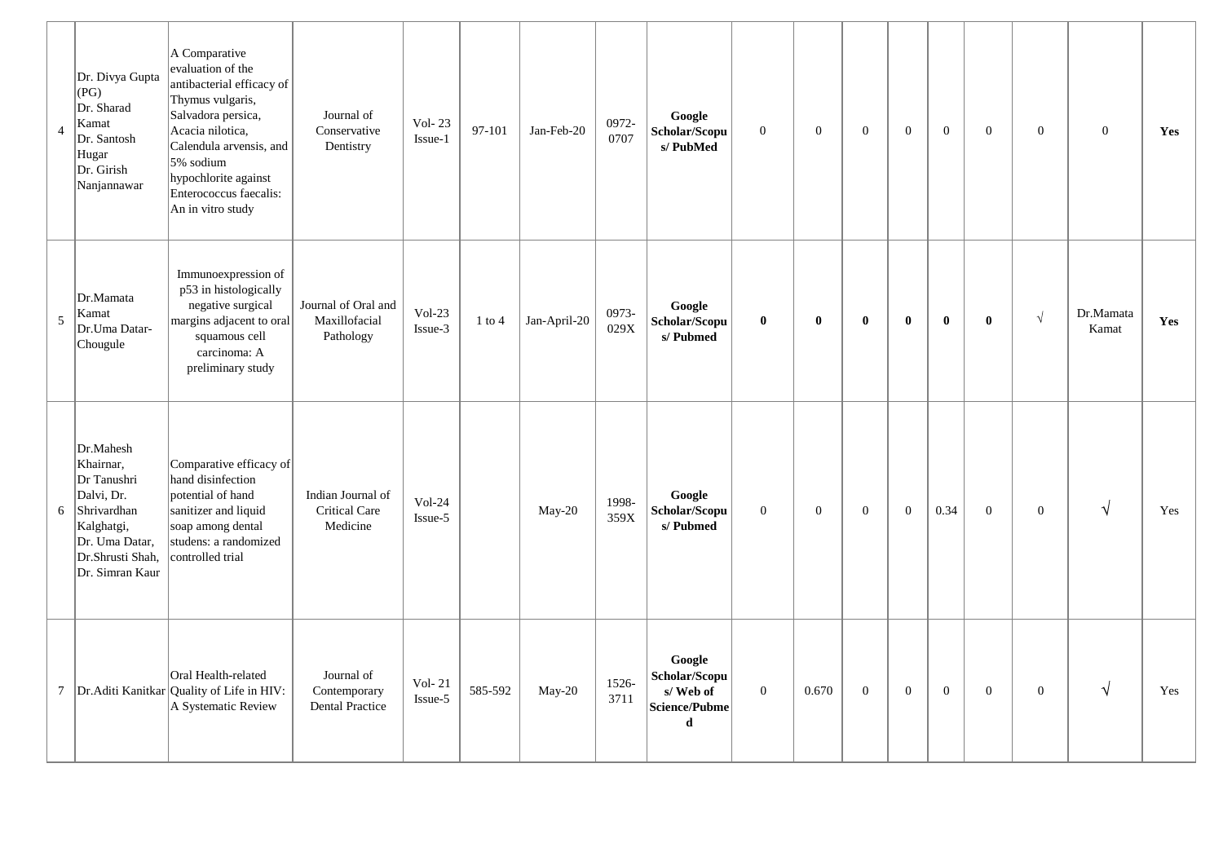| $\overline{4}$  | Dr. Divya Gupta<br>  (PG)<br>Dr. Sharad<br>Kamat<br>Dr. Santosh<br>Hugar<br>Dr. Girish<br>Nanjannawar                                     | A Comparative<br>evaluation of the<br>antibacterial efficacy of<br>Thymus vulgaris,<br>Salvadora persica,<br>Acacia nilotica,<br>Calendula arvensis, and<br>5% sodium<br>hypochlorite against<br>Enterococcus faecalis:<br>An in vitro study | Journal of<br>Conservative<br>Dentistry              | Vol- $23$<br>Issue-1 | 97-101     | Jan-Feb-20   | 0972-<br>0707 | Google<br>Scholar/Scopu<br>s/PubMed                       | $\overline{0}$ | $\mathbf{0}$ | $\mathbf{0}$ | $\overline{0}$ | $\overline{0}$ | $\overline{0}$ | $\overline{0}$ | $\overline{0}$     | Yes |  |
|-----------------|-------------------------------------------------------------------------------------------------------------------------------------------|----------------------------------------------------------------------------------------------------------------------------------------------------------------------------------------------------------------------------------------------|------------------------------------------------------|----------------------|------------|--------------|---------------|-----------------------------------------------------------|----------------|--------------|--------------|----------------|----------------|----------------|----------------|--------------------|-----|--|
| 5               | Dr.Mamata<br>Kamat<br>Dr.Uma Datar-<br>Chougule                                                                                           | Immunoexpression of<br>p53 in histologically<br>negative surgical<br>margins adjacent to oral<br>squamous cell<br>carcinoma: A<br>preliminary study                                                                                          | Journal of Oral and<br>Maxillofacial<br>Pathology    | $Vol-23$<br>Issue-3  | $1$ to $4$ | Jan-April-20 | 0973-<br>029X | Google<br>Scholar/Scopu<br>s/Pubmed                       | $\mathbf 0$    | $\bf{0}$     | $\bf{0}$     | $\mathbf{0}$   | $\mathbf{0}$   | $\bf{0}$       | $\sqrt{}$      | Dr.Mamata<br>Kamat | Yes |  |
| 6               | Dr.Mahesh<br>Khairnar,<br>Dr Tanushri<br>Dalvi, Dr.<br>Shrivardhan<br>Kalghatgi,<br>Dr. Uma Datar,<br>Dr.Shrusti Shah,<br>Dr. Simran Kaur | Comparative efficacy of<br>hand disinfection<br>potential of hand<br>sanitizer and liquid<br>soap among dental<br>studens: a randomized<br>controlled trial                                                                                  | Indian Journal of<br>Critical Care<br>Medicine       | $Vol-24$<br>Issue-5  |            | May-20       | 1998-<br>359X | Google<br>Scholar/Scopu<br>s/Pubmed                       | $\overline{0}$ | $\mathbf{0}$ | $\mathbf{0}$ | $\Omega$       | 0.34           | $\overline{0}$ | $\theta$       | $\sqrt{ }$         | Yes |  |
| $7\phantom{.0}$ |                                                                                                                                           | Oral Health-related<br>Dr. Aditi Kanitkar Quality of Life in HIV:<br>A Systematic Review                                                                                                                                                     | Journal of<br>Contemporary<br><b>Dental Practice</b> | Vol- $21$<br>Issue-5 | 585-592    | May-20       | 1526-<br>3711 | Google<br>Scholar/Scopu<br>s/Web of<br>Science/Pubme<br>d | $\mathbf{0}$   | 0.670        | $\mathbf{0}$ | $\overline{0}$ | $\theta$       | $\overline{0}$ | $\Omega$       | $\sqrt{ }$         | Yes |  |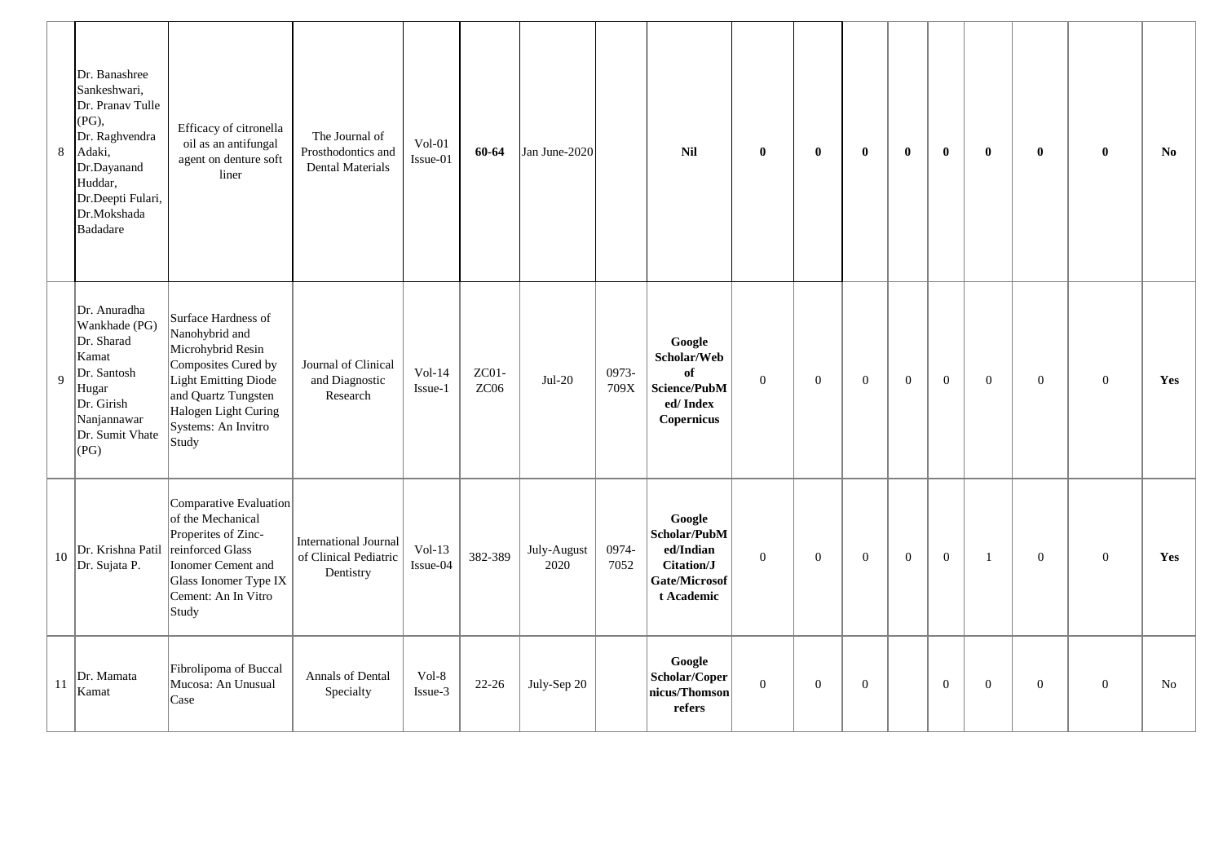| 8  | Dr. Banashree<br>Sankeshwari,<br>Dr. Pranav Tulle<br>$(PG)$ ,<br>Dr. Raghvendra<br>Adaki,<br>Dr.Dayanand<br>Huddar,<br>Dr.Deepti Fulari,<br>Dr.Mokshada<br><b>Badadare</b> | Efficacy of citronella<br>oil as an antifungal<br>agent on denture soft<br>liner                                                                                                         | The Journal of<br>Prosthodontics and<br>Dental Materials           | $Vol-01$<br>Issue-01 | 60-64         | Jan June-2020       |               | <b>Nil</b>                                                                       | $\bf{0}$         | $\bf{0}$         | $\bf{0}$       | $\mathbf{0}$   | $\mathbf{0}$   | $\bf{0}$       | $\bf{0}$         | $\bf{0}$       | N <sub>0</sub> |
|----|----------------------------------------------------------------------------------------------------------------------------------------------------------------------------|------------------------------------------------------------------------------------------------------------------------------------------------------------------------------------------|--------------------------------------------------------------------|----------------------|---------------|---------------------|---------------|----------------------------------------------------------------------------------|------------------|------------------|----------------|----------------|----------------|----------------|------------------|----------------|----------------|
| 9  | Dr. Anuradha<br>Wankhade (PG)<br>Dr. Sharad<br>Kamat<br>Dr. Santosh<br>Hugar<br>Dr. Girish<br>Nanjannawar<br>Dr. Sumit Vhate<br>(PG)                                       | Surface Hardness of<br>Nanohybrid and<br>Microhybrid Resin<br>Composites Cured by<br>Light Emitting Diode<br>and Quartz Tungsten<br>Halogen Light Curing<br>Systems: An Invitro<br>Study | Journal of Clinical<br>and Diagnostic<br>Research                  | $Vol-14$<br>Issue-1  | ZC01-<br>ZC06 | $Jul-20$            | 0973-<br>709X | Google<br>Scholar/Web<br>of<br>Science/PubM<br>ed/Index<br>Copernicus            | $\overline{0}$   | $\mathbf{0}$     | $\mathbf{0}$   | $\overline{0}$ | $\overline{0}$ | $\overline{0}$ | $\overline{0}$   | $\overline{0}$ | Yes            |
| 10 | Dr. Krishna Patil<br>Dr. Sujata P.                                                                                                                                         | Comparative Evaluation<br>of the Mechanical<br>Properites of Zinc-<br>reinforced Glass<br>Ionomer Cement and<br>Glass Ionomer Type IX<br>Cement: An In Vitro<br>Study                    | <b>International Journal</b><br>of Clinical Pediatric<br>Dentistry | $Vol-13$<br>Issue-04 | 382-389       | July-August<br>2020 | 0974-<br>7052 | Google<br>Scholar/PubM<br>ed/Indian<br>Citation/J<br>Gate/Microsof<br>t Academic | $\boldsymbol{0}$ | $\boldsymbol{0}$ | $\overline{0}$ | $\overline{0}$ | $\overline{0}$ | $\overline{1}$ | $\mathbf{0}$     | $\overline{0}$ | Yes            |
| 11 | Dr. Mamata<br>Kamat                                                                                                                                                        | Fibrolipoma of Buccal<br>Mucosa: An Unusual<br>Case                                                                                                                                      | Annals of Dental<br>Specialty                                      | Vol-8<br>Issue-3     | $22 - 26$     | July-Sep 20         |               | Google<br>Scholar/Coper<br>nicus/Thomson<br>refers                               | $\boldsymbol{0}$ | $\boldsymbol{0}$ | $\mathbf{0}$   |                | $\mathbf{0}$   | $\mathbf{0}$   | $\boldsymbol{0}$ | $\theta$       | No             |